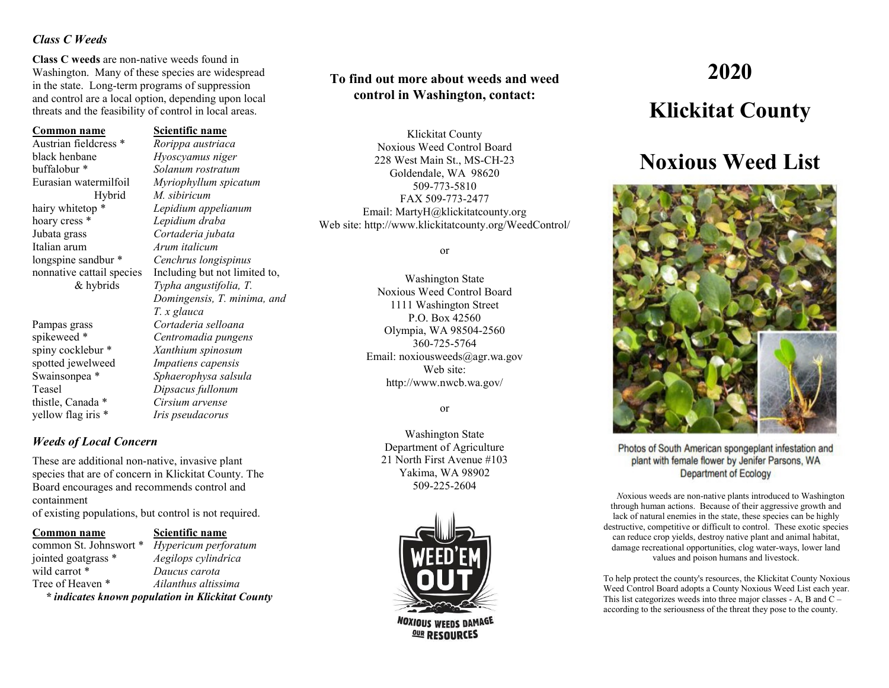### *Class C Weeds*

**Class C weeds** are non-native weeds found in Washington. Many of these species are widespread in the state. Long-term programs of suppression and control are a local option, depending upon local threats and the feasibility of control in local areas.

### **Common name Scientific name**

Austrian fieldcress \* *Rorippa austriaca* black henbane *Hyoscyamus niger* buffalobur \* *Solanum rostratum* Hybrid *M. sibiricum*<br>hairy whitetop \* Lepidium app hoary cress \* *Lepidium draba* Jubata grass *Cortaderia jubata* Italian arum *Arum italicum* longspine sandbur \* *Cenchrus longispinus*

thistle, Canada \* *Cirsium arvense* yellow flag iris \* *Iris pseudacorus*

Eurasian watermilfoil *Myriophyllum spicatum* Lepidium appelianum nonnative cattail species Including but not limited to, & hybrids *Typha angustifolia, T. T. x glauca* Pampas grass *Cortaderia selloana* spikeweed \* *Centromadia pungens* spiny cocklebur \* *Xanthium spinosum* spotted jewelweed *Impatiens capensis* Swainsonpea \* *Sphaerophysa salsula* Teasel *Dipsacus fullonum*

### *Weeds of Local Concern*

These are additional non-native, invasive plant species that are of concern in Klickitat County. The Board encourages and recommends control and containment of existing populations, but control is not required.

### **Common name Scientific name**

common St. Johnswort \* *Hypericum perforatum* jointed goatgrass \* *Aegilops cylindrica* wild carrot \* *Daucus carota*  Tree of Heaven \* *Ailanthus altissima \* indicates known population in Klickitat County*

*Domingensis, T. minima, and*

## **To find out more about weeds and weed control in Washington, contact:**

Klickitat County Noxious Weed Control Board 228 West Main St., MS-CH-23 Goldendale, WA 98620 509-773-5810 FAX 509-773-2477 Email: MartyH@klickitatcounty.org Web site: http://www.klickitatcounty.org/WeedControl/

### or

Washington State Noxious Weed Control Board 1111 Washington Street P.O. Box 42560 Olympia, WA 98504-2560 360-725-5764 Email: noxiousweeds@agr.wa.gov Web site: http://www.nwcb.wa.gov/

or

Washington State Department of Agriculture 21 North First Avenue #103 Yakima, WA 98902 509-225-2604



# **2020 Klickitat County**

# **Noxious Weed List**



Photos of South American spongeplant infestation and plant with female flower by Jenifer Parsons, WA **Department of Ecology** 

 *N*oxious weeds are non-native plants introduced to Washington through human actions. Because of their aggressive growth and lack of natural enemies in the state, these species can be highly destructive, competitive or difficult to control. These exotic species can reduce crop yields, destroy native plant and animal habitat, damage recreational opportunities, clog water-ways, lower land values and poison humans and livestock.

To help protect the county's resources, the Klickitat County Noxious Weed Control Board adopts a County Noxious Weed List each year. This list categorizes weeds into three major classes - A, B and C – according to the seriousness of the threat they pose to the county.